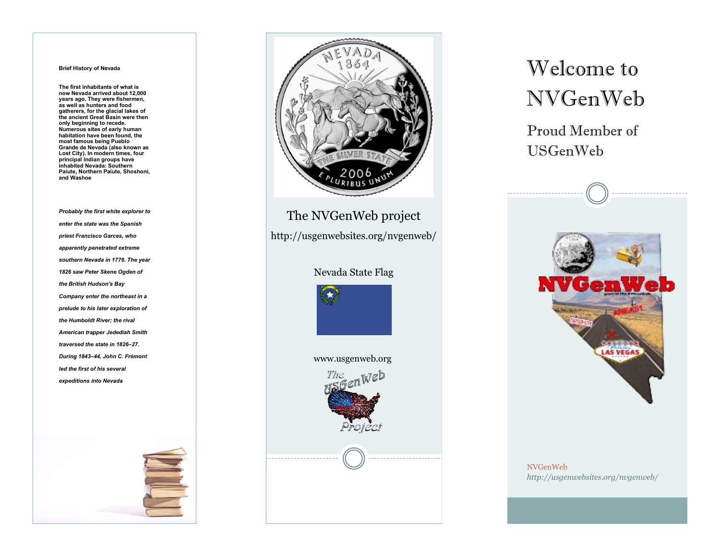#### **Brief History of Nevada**

**The first inhabitants of what is now Nevada arrived about 12,000 years ago. They were fishermen, as well as hunters and food gatherers, for the glacial lakes of the ancient Great Basin were then only beginning to recede. Numerous sites of early human habitation have been found, the most famous being Pueblo Grande de Nevada (also known as Lost City). In modern times, four principal Indian groups have inhabited Nevada: Southern Paiute, Northern Paiute, Shoshoni, and Washoe**

*Probably the first white explorer to enter the state was the Spanish priest Francisco Garces, who apparently penetrated extreme southern Nevada in 1776. The year 1826 saw Peter Skene Ogden of the British Hudson's Bay Company enter the northeast in a prelude to his later exploration of the Humboldt River; the rival American trapper Jedediah Smith traversed the state in 1826–27. During 1843–44, John C. Frémont led the first of his several expeditions into Nevada*





The NVGenWeb project

http://usgenwebsites.org/nvgenweb/

### Nevada State Flag





# Welcome to NVGenWeb

Proud Member of USGenWeb



NVGenWeb *http://usgenwebsites.org/nvgenweb/*